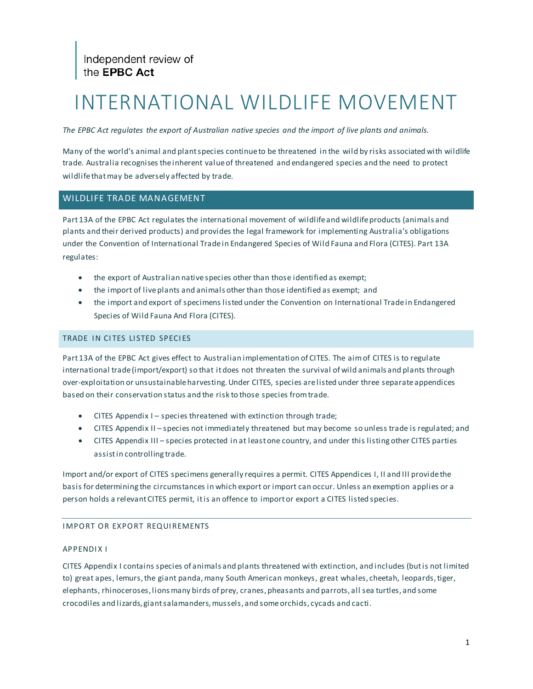### INTERNATIONAL WILDLIFE MOVEMENT

*The EPBC Act regulates the export of Australian native species and the import of live plants and animals.*

Many of the world's animal and plant species continue to be threatened in the wild by risks associated with wildlife trade. Australia recognises the inherent value of threatened and endangered species and the need to protect wildlife that may be adversely affected by trade.

#### WILDLIFE TRADE MANAGEMENT

Part 13A of the EPBC Act regulates the international movement of wildlife and wildlife products (animals and plants and their derived products) and provides the legal framework for implementing Australia's obligations under the Convention of International Trade in Endangered Species of Wild Fauna and Flora (CITES). Part 13A regulates:

- the export of Australian native species other than those identified as exempt;
- the import of live plants and animals other than those identified as exempt; and
- the import and export of specimens listed under the Convention on International Trade in Endangered Species of Wild Fauna And Flora (CITES).

#### TRADE IN CITES LISTED SPECIES

Part 13A of the EPBC Act gives effect to Australian implementation of CITES. The aim of CITES is to regulate international trade (import/export) so that it does not threaten the survival of wild animals and plants through over-exploitation or unsustainable harvesting. Under CITES, species are listed under three separate appendices based on their conservation status and the risk to those species from trade.

- CITES Appendix I species threatened with extinction through trade;
- CITES Appendix II species not immediately threatened but may become so unless trade is regulated; and
- CITES Appendix III species protected in at least one country, and under this listing other CITES parties assist in controlling trade.

Import and/or export of CITES specimens generally requires a permit. CITES Appendices I, II and III provide the basis for determining the circumstances in which export or import can occur. Unless an exemption applies or a person holds a relevant CITES permit, it is an offence to import or export a CITES listed species.

#### IMPORT OR EXPORT REQUIREMENTS

#### APPENDIX I

CITES Appendix I contains species of animals and plants threatened with extinction, and includes (but is not limited to) great apes, lemurs, the giant panda, many South American monkeys, great whales, cheetah, leopards, tiger, elephants, rhinoceroses, lions many birds of prey, cranes, pheasants and parrots, all sea turtles, and some crocodiles and lizards, giant salamanders, mussels, and some orchids, cycads and cacti.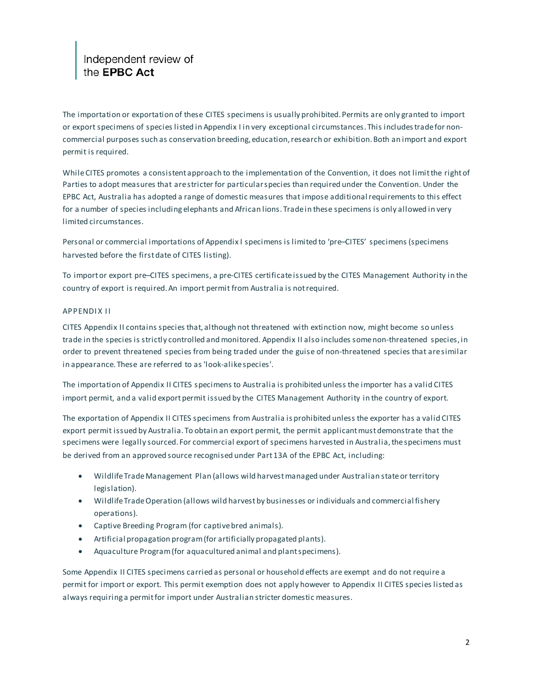## Independent review of<br>the EPBC Act

The importation or exportation of these CITES specimens is usually prohibited. Permits are only granted to import or export specimens of species listed in Appendix I in very exceptional circumstances. This includes trade for noncommercial purposes such as conservation breeding, education, research or exhibition. Both an import and export permit is required.

While CITES promotes a consistent approach to the implementation of the Convention, it does not limit the right of Parties to adopt measures that are stricter for particular species than required under the Convention. Under the EPBC Act, Australia has adopted a range of domestic measures that impose additional requirements to this effect for a number of species including elephants and African lions. Trade in these specimens is only allowed in very limited circumstances.

Personal or commercial importations of Appendix I specimens is limited to 'pre–CITES' specimens (specimens harvested before the first date of CITES listing).

To import or export pre–CITES specimens, a pre-CITES certificate issued by the CITES Management Authority in the country of export is required. An import permit from Australia is not required.

#### APPENDIX II

CITES Appendix II contains species that, although not threatened with extinction now, might become so unless trade in the species is strictly controlled and monitored. Appendix II also includes some non-threatened species, in order to prevent threatened species from being traded under the guise of non-threatened species that are similar in appearance. These are referred to as 'look-alike species'.

The importation of Appendix II CITES specimens to Australia is prohibited unless the importer has a valid CITES import permit, and a valid export permit issued by the CITES Management Authority in the country of export.

The exportation of Appendix II CITES specimens from Australia is prohibited unless the exporter has a valid CITES export permit issued by Australia. To obtain an export permit, the permit applicant must demonstrate that the specimens were legally sourced. For commercial export of specimens harvested in Australia, the specimens must be derived from an approved source recognised under Part 13A of the EPBC Act, including:

- Wildlife Trade Management Plan (allows wild harvest managed under Australian state or territory legislation).
- Wildlife Trade Operation (allows wild harvest by businesses or individuals and commercial fishery operations).
- Captive Breeding Program (for captive bred animals).
- Artificial propagation program (for artificially propagated plants).
- Aquaculture Program (for aquacultured animal and plant specimens).

Some Appendix II CITES specimens carried as personal or household effects are exempt and do not require a permit for import or export. This permit exemption does not apply however to Appendix II CITES species listed as always requiring a permit for import under Australian stricter domestic measures.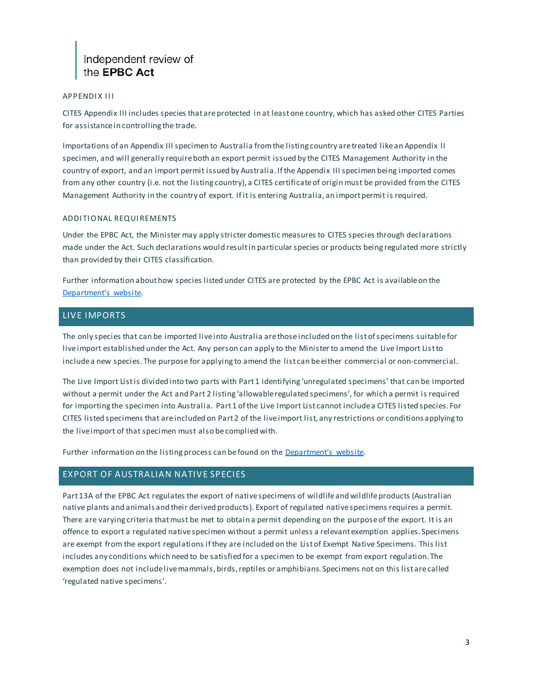#### APPENDIX III

CITES Appendix III includes species that are protected in at least one country, which has asked other CITES Parties for assistance in controlling the trade.

Importations of an Appendix III specimen to Australia from the listing country are treated like an Appendix II specimen, and will generally require both an export permit issued by the CITES Management Authority in the country of export, and an import permit issued by Australia. If the Appendix III specimen being imported comes from any other country (i.e. not the listing country), a CITES certificate of origin must be provided from the CITES Management Authority in the country of export. If it is entering Australia, an import permit is required.

#### ADDITIONAL REQUIREMENTS

Under the EPBC Act, the Minister may apply stricter domestic measures to CITES species through declarations made under the Act. Such declarations would result in particular species or products being regulated more strictly than provided by their CITES classification.

Further information about how species listed under CITES are protected by the EPBC Act is available on the [Department's website.](http://www.environment.gov.au/biodiversity/wildlife-trade/cites)

#### LIVE IMPORTS

The only species that can be imported live into Australia are those included on the list of specimens suitable for live import established under the Act. Any person can apply to the Minister to amend the Live Import List to include a new species. The purpose for applying to amend the list can be either commercial or non-commercial.

The Live Import List is divided into two parts with Part 1 identifying 'unregulated specimens' that can be imported without a permit under the Act and Part 2 listing 'allowable regulated specimens', for which a permit is required for importing the specimen into Australia. Part 1 of the Live Import List cannot include a CITES listed species. For CITES listed specimens that are included on Part 2 of the live import list, any restrictions or conditions applying to the live import of that specimen must also be complied with.

Further information on the listing process can befound on th[e Department's website.](http://www.environment.gov.au/biodiversity/wildlife-trade/live-import-list)

#### EXPORT OF AUSTRALIAN NATIVE SPECIES

Part 13A of the EPBC Act regulates the export of native specimens of wildlife and wildlife products (Australian native plants and animals and their derived products). Export of regulated native specimens requires a permit. There are varying criteria that must be met to obtain a permit depending on the purpose of the export. It is an offence to export a regulated native specimen without a permit unless a relevant exemption applies. Specimens are exempt from the export regulations if they are included on the List of Exempt Native Specimens. This list includes any conditions which need to be satisfied for a specimen to be exempt from export regulation. The exemption does not include live mammals, birds, reptiles or amphibians. Specimens not on this list are called 'regulated native specimens'.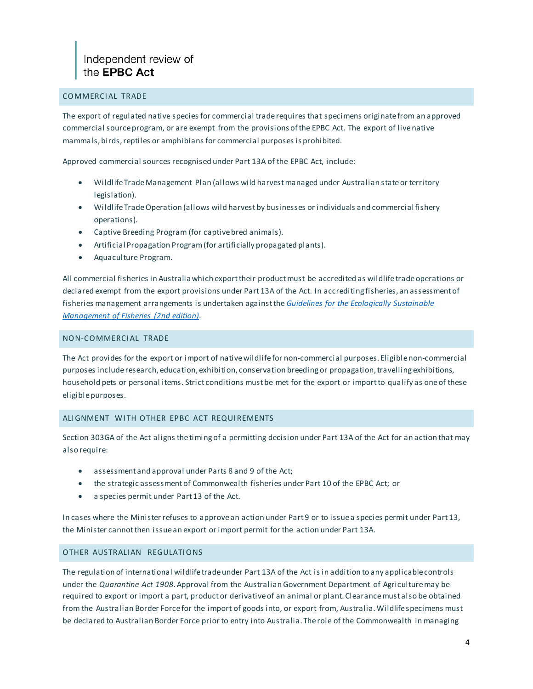#### COMMERCIAL TRADE

The export of regulated native species for commercial trade requires that specimens originate from an approved commercial source program, or are exempt from the provisions of the EPBC Act. The export of live native mammals, birds, reptiles or amphibians for commercial purposes is prohibited.

Approved commercial sources recognised under Part 13A of the EPBC Act, include:

- Wildlife Trade Management Plan (allows wild harvest managed under Australian state or territory legislation).
- Wildlife Trade Operation (allows wild harvest by businesses or individuals and commercial fishery operations).
- Captive Breeding Program (for captive bred animals).
- Artificial Propagation Program (for artificially propagated plants).
- Aquaculture Program.

All commercial fisheries in Australia which export their product must be accredited as wildlife trade operations or declared exempt from the export provisions under Part 13A of the Act. In accrediting fisheries, an assessment of fisheries management arrangements is undertaken against the *[Guidelines for the Ecologically Sustainable](http://www.environment.gov.au/marine/publications/guidelines-ecologically-sustainable-management-fisheries)  [Management of Fisheries \(2nd edition\)](http://www.environment.gov.au/marine/publications/guidelines-ecologically-sustainable-management-fisheries)*.

#### NON-COMMERCIAL TRADE

The Act provides for the export or import of native wildlife for non-commercial purposes. Eligible non-commercial purposes include research, education, exhibition, conservation breeding or propagation, travelling exhibitions, household pets or personal items. Strict conditions must be met for the export or import to qualify as one of these eligible purposes.

#### ALIGNMENT WITH OTHER EPBC ACT REQUIREMENTS

Section 303GA of the Act aligns the timing of a permitting decision under Part 13A of the Act for an action that may also require:

- assessment and approval under Parts 8 and 9 of the Act;
- the strategic assessment of Commonwealth fisheries under Part 10 of the EPBC Act; or
- a species permit under Part 13 of the Act.

In cases where the Minister refuses to approve an action under Part 9 or to issue a species permit under Part 13, the Minister cannot then issue an export or import permit for the action under Part 13A.

#### OTHER AUSTRALIAN REGULATIONS

The regulation of international wildlife trade under Part 13A of the Act is in addition to any applicable controls under the *Quarantine Act 1908*. Approval from the Australian Government Department of Agriculture may be required to export or import a part, product or derivative of an animal or plant. Clearance must also be obtained from the Australian Border Force for the import of goods into, or export from, Australia. Wildlife specimens must be declared to Australian Border Force prior to entry into Australia. The role of the Commonwealth in managing